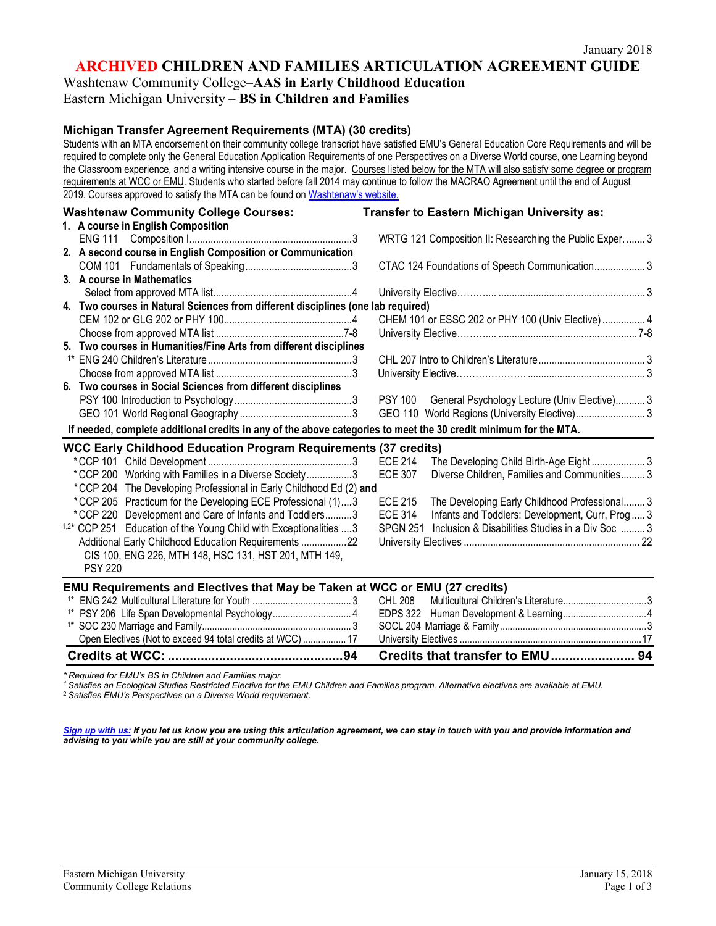**ARCHIVED CHILDREN AND FAMILIES ARTICULATION AGREEMENT GUIDE**

Washtenaw Community College–**AAS in Early Childhood Education** Eastern Michigan University – **BS in Children and Families**

#### **Michigan Transfer Agreement Requirements (MTA) (30 credits)**

Students with an MTA endorsement on their community college transcript have satisfied EMU's General Education Core Requirements and will be required to complete only the General Education Application Requirements of one Perspectives on a Diverse World course, one Learning beyond the Classroom experience, and a writing intensive course in the major. Courses listed below for the MTA will also satisfy some degree or program requirements at WCC or EMU. Students who started before fall 2014 may continue to follow the MACRAO Agreement until the end of August 2019. Courses approved to satisfy the MTA can be found on [Washtenaw's website.](http://www.wccnet.edu/services/transferresources/mta/)

| <b>Washtenaw Community College Courses:</b> |                                                                                                                  |  | Transfer to Eastern Michigan University as: |                                                           |  |  |  |
|---------------------------------------------|------------------------------------------------------------------------------------------------------------------|--|---------------------------------------------|-----------------------------------------------------------|--|--|--|
|                                             | 1. A course in English Composition                                                                               |  |                                             |                                                           |  |  |  |
|                                             |                                                                                                                  |  |                                             | WRTG 121 Composition II: Researching the Public Exper.  3 |  |  |  |
|                                             | 2. A second course in English Composition or Communication                                                       |  |                                             |                                                           |  |  |  |
|                                             |                                                                                                                  |  |                                             | CTAC 124 Foundations of Speech Communication 3            |  |  |  |
|                                             | 3. A course in Mathematics                                                                                       |  |                                             |                                                           |  |  |  |
|                                             |                                                                                                                  |  |                                             |                                                           |  |  |  |
|                                             | 4. Two courses in Natural Sciences from different disciplines (one lab required)                                 |  |                                             |                                                           |  |  |  |
|                                             |                                                                                                                  |  |                                             | CHEM 101 or ESSC 202 or PHY 100 (Univ Elective)  4        |  |  |  |
|                                             |                                                                                                                  |  |                                             |                                                           |  |  |  |
|                                             | 5. Two courses in Humanities/Fine Arts from different disciplines                                                |  |                                             |                                                           |  |  |  |
|                                             |                                                                                                                  |  |                                             |                                                           |  |  |  |
|                                             |                                                                                                                  |  |                                             |                                                           |  |  |  |
|                                             | 6. Two courses in Social Sciences from different disciplines                                                     |  |                                             |                                                           |  |  |  |
|                                             |                                                                                                                  |  |                                             | PSY 100 General Psychology Lecture (Univ Elective) 3      |  |  |  |
|                                             |                                                                                                                  |  |                                             | GEO 110 World Regions (University Elective) 3             |  |  |  |
|                                             | If needed, complete additional credits in any of the above categories to meet the 30 credit minimum for the MTA. |  |                                             |                                                           |  |  |  |
|                                             | <b>WCC Early Childhood Education Program Requirements (37 credits)</b>                                           |  |                                             |                                                           |  |  |  |
|                                             |                                                                                                                  |  | <b>ECE 214</b>                              | The Developing Child Birth-Age Eight 3                    |  |  |  |
|                                             | * CCP 200 Working with Families in a Diverse Society3                                                            |  | <b>ECE 307</b>                              | Diverse Children, Families and Communities 3              |  |  |  |
|                                             | *CCP 204 The Developing Professional in Early Childhood Ed (2) and                                               |  |                                             |                                                           |  |  |  |
|                                             | *CCP 205 Practicum for the Developing ECE Professional (1)3                                                      |  | <b>ECE 215</b>                              | The Developing Early Childhood Professional 3             |  |  |  |
|                                             | * CCP 220 Development and Care of Infants and Toddlers3                                                          |  | <b>ECE 314</b>                              | Infants and Toddlers: Development, Curr, Prog 3           |  |  |  |
|                                             | 1,2* CCP 251 Education of the Young Child with Exceptionalities  3                                               |  | <b>SPGN 251</b>                             | Inclusion & Disabilities Studies in a Div Soc  3          |  |  |  |
|                                             | Additional Early Childhood Education Requirements 22                                                             |  |                                             |                                                           |  |  |  |
|                                             | CIS 100, ENG 226, MTH 148, HSC 131, HST 201, MTH 149,                                                            |  |                                             |                                                           |  |  |  |
|                                             | <b>PSY 220</b>                                                                                                   |  |                                             |                                                           |  |  |  |
|                                             | EMU Requirements and Electives that May be Taken at WCC or EMU (27 credits)                                      |  |                                             |                                                           |  |  |  |
|                                             |                                                                                                                  |  | <b>CHL 208</b>                              |                                                           |  |  |  |
|                                             | <sup>1*</sup> PSY 206 Life Span Developmental Psychology 4                                                       |  |                                             |                                                           |  |  |  |

| Open Electives (Not to exceed 94 total credits at WCC)  17 |  |
|------------------------------------------------------------|--|
|                                                            |  |
| <sup>1*</sup> PSY 206 Life Span Developmental Psychology 4 |  |

*\* Required for EMU's BS in Children and Families major.*

*1 Satisfies an Ecological Studies Restricted Elective for the EMU Children and Families program. Alternative electives are available at EMU.*

<sup>2</sup> *Satisfies EMU's Perspectives on a Diverse World requirement.*

*[Sign up with us:](http://www.emich.edu/ccr/articulation-agreements/signup.php) If you let us know you are using this articulation agreement, we can stay in touch with you and provide information and advising to you while you are still at your community college.*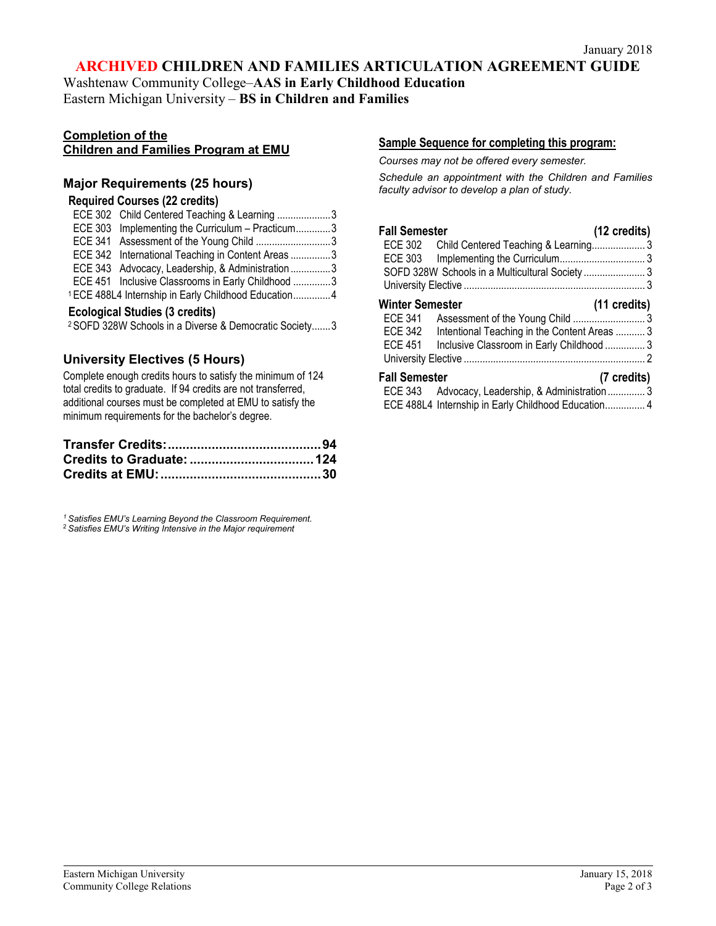## **ARCHIVED CHILDREN AND FAMILIES ARTICULATION AGREEMENT GUIDE**

Washtenaw Community College–**AAS in Early Childhood Education** Eastern Michigan University – **BS in Children and Families**

### **Completion of the Children and Families Program at EMU**

### **Major Requirements (25 hours)**

## **Required Courses (22 credits)**

| ECE 302 Child Centered Teaching & Learning 3                    |  |
|-----------------------------------------------------------------|--|
| ECE 303 Implementing the Curriculum - Practicum3                |  |
| ECE 341 Assessment of the Young Child 3                         |  |
| ECE 342 International Teaching in Content Areas 3               |  |
| ECE 343 Advocacy, Leadership, & Administration 3                |  |
| ECE 451 Inclusive Classrooms in Early Childhood 3               |  |
| <sup>1</sup> ECE 488L4 Internship in Early Childhood Education4 |  |
|                                                                 |  |

#### **Ecological Studies (3 credits)**

<sup>2</sup> SOFD 328W Schools in a Diverse & Democratic Society.......3

## **University Electives (5 Hours)**

Complete enough credits hours to satisfy the minimum of 124 total credits to graduate. If 94 credits are not transferred, additional courses must be completed at EMU to satisfy the minimum requirements for the bachelor's degree.

*1 Satisfies EMU's Learning Beyond the Classroom Requirement.* <sup>2</sup> *Satisfies EMU's Writing Intensive in the Major requirement*

#### **Sample Sequence for completing this program:**

*Courses may not be offered every semester.* 

*Schedule an appointment with the Children and Families faculty advisor to develop a plan of study.*

| <b>Fall Semester</b>                                        | (12 credits) |  |  |
|-------------------------------------------------------------|--------------|--|--|
| ECE 302 Child Centered Teaching & Learning 3                |              |  |  |
|                                                             |              |  |  |
| SOFD 328W Schools in a Multicultural Society  3             |              |  |  |
|                                                             |              |  |  |
| <b>Winter Semester</b>                                      | (11 credits) |  |  |
| ECE 341                                                     |              |  |  |
| ECE 342<br>Intentional Teaching in the Content Areas  3     |              |  |  |
| Inclusive Classroom in Early Childhood  3<br><b>ECE 451</b> |              |  |  |
|                                                             |              |  |  |
| <b>Fall Semester</b><br>(7 credits)                         |              |  |  |
| ECE 343 Advocacy, Leadership, & Administration 3            |              |  |  |
| ECE 488L4 Internship in Early Childhood Education 4         |              |  |  |